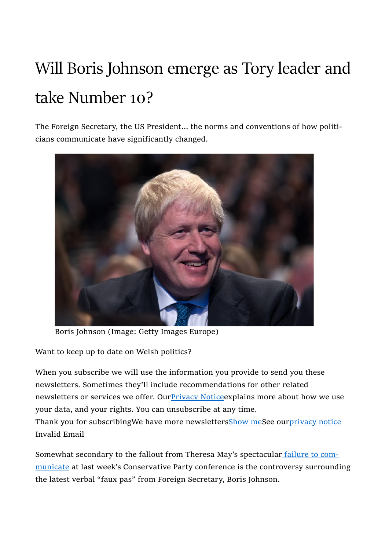## Will Boris Johnson emerge as Tory leader and take Number 10?

The Foreign Secretary, the US President... the norms and conventions of how politicians communicate have significantly changed.



Boris Johnson (Image: Getty Images Europe)

Want to keep up to date on Welsh politics?

When you subscribe we will use the information you provide to send you these newsletters. Sometimes they'll include recommendations for other related newsletters or services we offer. Our **Privacy Notice** explains more about how we use your data, and your rights. You can unsubscribe at any time. Thank you for subscribingWe have more newslettersShow meSee ourprivacy notice Invalid Email

Somewhat secondary to the fallout from Theresa May's spectacular failure to communicate at last week's Conservative Party conference is the controversy surrounding the latest verbal "faux pas" from Foreign Secretary, Boris Johnson.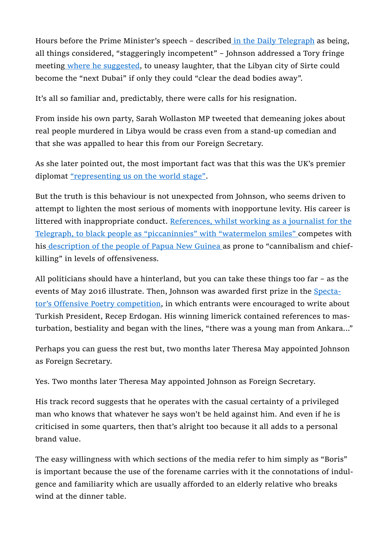Hours before the Prime Minister's speech – described in the Daily Telegraph as being, all things considered, "staggeringly incompetent" – Johnson addressed a Tory fringe meeting where he suggested, to uneasy laughter, that the Libyan city of Sirte could become the "next Dubai" if only they could "clear the dead bodies away".

It's all so familiar and, predictably, there were calls for his resignation.

From inside his own party, Sarah Wollaston MP tweeted that demeaning jokes about real people murdered in Libya would be crass even from a stand-up comedian and that she was appalled to hear this from our Foreign Secretary.

As she later pointed out, the most important fact was that this was the UK's premier diplomat "representing us on the world stage".

But the truth is this behaviour is not unexpected from Johnson, who seems driven to attempt to lighten the most serious of moments with inopportune levity. His career is littered with inappropriate conduct. References, whilst working as a journalist for the Telegraph, to black people as "piccaninnies" with "watermelon smiles" competes with his description of the people of Papua New Guinea as prone to "cannibalism and chiefkilling" in levels of offensiveness.

All politicians should have a hinterland, but you can take these things too far – as the events of May 2016 illustrate. Then, Johnson was awarded first prize in the Spectator's Offensive Poetry competition, in which entrants were encouraged to write about Turkish President, Recep Erdogan. His winning limerick contained references to masturbation, bestiality and began with the lines, "there was a young man from Ankara..."

Perhaps you can guess the rest but, two months later Theresa May appointed Johnson as Foreign Secretary.

Yes. Two months later Theresa May appointed Johnson as Foreign Secretary.

His track record suggests that he operates with the casual certainty of a privileged man who knows that whatever he says won't be held against him. And even if he is criticised in some quarters, then that's alright too because it all adds to a personal brand value.

The easy willingness with which sections of the media refer to him simply as "Boris" is important because the use of the forename carries with it the connotations of indulgence and familiarity which are usually afforded to an elderly relative who breaks wind at the dinner table.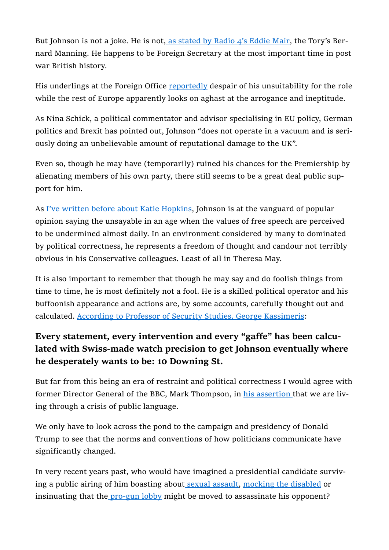But Johnson is not a joke. He is not, as stated by Radio 4's Eddie Mair, the Tory's Bernard Manning. He happens to be Foreign Secretary at the most important time in post war British history.

His underlings at the Foreign Office reportedly despair of his unsuitability for the role while the rest of Europe apparently looks on aghast at the arrogance and ineptitude.

As Nina Schick, a political commentator and advisor specialising in EU policy, German politics and Brexit has pointed out, Johnson "does not operate in a vacuum and is seriously doing an unbelievable amount of reputational damage to the UK".

Even so, though he may have (temporarily) ruined his chances for the Premiership by alienating members of his own party, there still seems to be a great deal public support for him.

As I've written before about Katie Hopkins, Johnson is at the vanguard of popular opinion saying the unsayable in an age when the values of free speech are perceived to be undermined almost daily. In an environment considered by many to dominated by political correctness, he represents a freedom of thought and candour not terribly obvious in his Conservative colleagues. Least of all in Theresa May.

It is also important to remember that though he may say and do foolish things from time to time, he is most definitely not a fool. He is a skilled political operator and his buffoonish appearance and actions are, by some accounts, carefully thought out and calculated. According to Professor of Security Studies, George Kassimeris:

## Every statement, every intervention and every "gaffe" has been calculated with Swiss-made watch precision to get Johnson eventually where he desperately wants to be: 10 Downing St.

But far from this being an era of restraint and political correctness I would agree with former Director General of the BBC, Mark Thompson, in his assertion that we are living through a crisis of public language.

We only have to look across the pond to the campaign and presidency of Donald Trump to see that the norms and conventions of how politicians communicate have significantly changed.

In very recent years past, who would have imagined a presidential candidate surviving a public airing of him boasting about sexual assault, mocking the disabled or insinuating that the pro-gun lobby might be moved to assassinate his opponent?